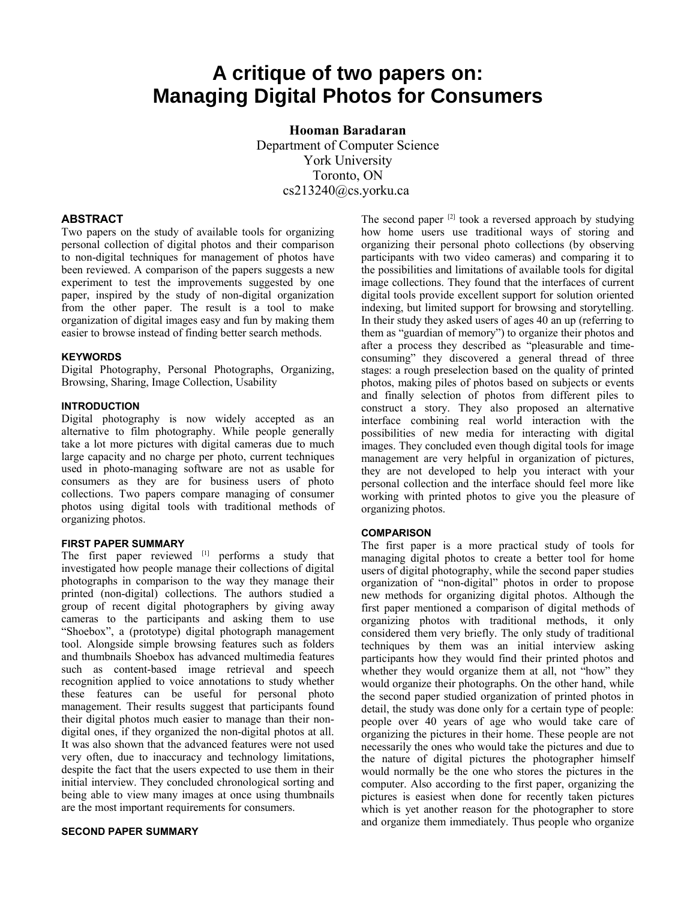# **A critique of two papers on: Managing Digital Photos for Consumers**

**Hooman Baradaran** Department of Computer Science York University Toronto, ON cs213240@cs.yorku.ca

## **ABSTRACT**

Two papers on the study of available tools for organizing personal collection of digital photos and their comparison to non-digital techniques for management of photos have been reviewed. A comparison of the papers suggests a new experiment to test the improvements suggested by one paper, inspired by the study of non-digital organization from the other paper. The result is a tool to make organization of digital images easy and fun by making them easier to browse instead of finding better search methods.

#### **KEYWORDS**

Digital Photography, Personal Photographs, Organizing, Browsing, Sharing, Image Collection, Usability

#### **INTRODUCTION**

Digital photography is now widely accepted as an alternative to film photography. While people generally take a lot more pictures with digital cameras due to much large capacity and no charge per photo, current techniques used in photo-managing software are not as usable for consumers as they are for business users of photo collections. Two papers compare managing of consumer photos using digital tools with traditional methods of organizing photos.

#### **FIRST PAPER SUMMARY**

The first paper reviewed  $[1]$  performs a study that investigated how people manage their collections of digital photographs in comparison to the way they manage their printed (non-digital) collections. The authors studied a group of recent digital photographers by giving away cameras to the participants and asking them to use "Shoebox", a (prototype) digital photograph management tool. Alongside simple browsing features such as folders and thumbnails Shoebox has advanced multimedia features such as content-based image retrieval and speech recognition applied to voice annotations to study whether these features can be useful for personal photo management. Their results suggest that participants found their digital photos much easier to manage than their nondigital ones, if they organized the non-digital photos at all. It was also shown that the advanced features were not used very often, due to inaccuracy and technology limitations, despite the fact that the users expected to use them in their initial interview. They concluded chronological sorting and being able to view many images at once using thumbnails are the most important requirements for consumers.

#### **SECOND PAPER SUMMARY**

The second paper  $[2]$  took a reversed approach by studying how home users use traditional ways of storing and organizing their personal photo collections (by observing participants with two video cameras) and comparing it to the possibilities and limitations of available tools for digital image collections. They found that the interfaces of current digital tools provide excellent support for solution oriented indexing, but limited support for browsing and storytelling. In their study they asked users of ages 40 an up (referring to them as "guardian of memory") to organize their photos and after a process they described as "pleasurable and timeconsuming" they discovered a general thread of three stages: a rough preselection based on the quality of printed photos, making piles of photos based on subjects or events and finally selection of photos from different piles to construct a story. They also proposed an alternative interface combining real world interaction with the possibilities of new media for interacting with digital images. They concluded even though digital tools for image management are very helpful in organization of pictures, they are not developed to help you interact with your personal collection and the interface should feel more like working with printed photos to give you the pleasure of organizing photos.

#### **COMPARISON**

The first paper is a more practical study of tools for managing digital photos to create a better tool for home users of digital photography, while the second paper studies organization of "non-digital" photos in order to propose new methods for organizing digital photos. Although the first paper mentioned a comparison of digital methods of organizing photos with traditional methods, it only considered them very briefly. The only study of traditional techniques by them was an initial interview asking participants how they would find their printed photos and whether they would organize them at all, not "how" they would organize their photographs. On the other hand, while the second paper studied organization of printed photos in detail, the study was done only for a certain type of people: people over 40 years of age who would take care of organizing the pictures in their home. These people are not necessarily the ones who would take the pictures and due to the nature of digital pictures the photographer himself would normally be the one who stores the pictures in the computer. Also according to the first paper, organizing the pictures is easiest when done for recently taken pictures which is yet another reason for the photographer to store and organize them immediately. Thus people who organize